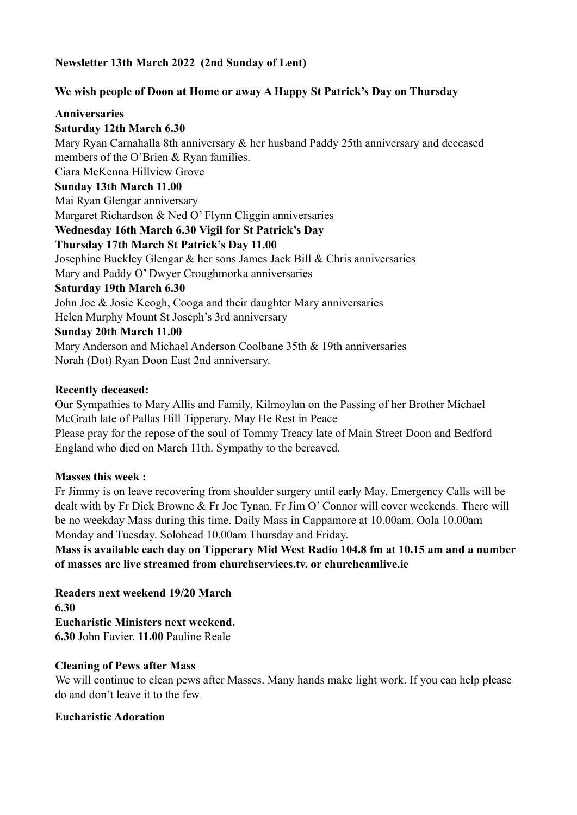### **Newsletter 13th March 2022 (2nd Sunday of Lent)**

### **We wish people of Doon at Home or away A Happy St Patrick's Day on Thursday**

#### **Anniversaries**

**Saturday 12th March 6.30** Mary Ryan Carnahalla 8th anniversary & her husband Paddy 25th anniversary and deceased members of the O'Brien & Ryan families. Ciara McKenna Hillview Grove **Sunday 13th March 11.00** Mai Ryan Glengar anniversary Margaret Richardson & Ned O' Flynn Cliggin anniversaries **Wednesday 16th March 6.30 Vigil for St Patrick's Day Thursday 17th March St Patrick's Day 11.00** Josephine Buckley Glengar & her sons James Jack Bill & Chris anniversaries Mary and Paddy O' Dwyer Croughmorka anniversaries **Saturday 19th March 6.30** John Joe & Josie Keogh, Cooga and their daughter Mary anniversaries Helen Murphy Mount St Joseph's 3rd anniversary **Sunday 20th March 11.00** Mary Anderson and Michael Anderson Coolbane 35th & 19th anniversaries Norah (Dot) Ryan Doon East 2nd anniversary.

#### **Recently deceased:**

Our Sympathies to Mary Allis and Family, Kilmoylan on the Passing of her Brother Michael McGrath late of Pallas Hill Tipperary. May He Rest in Peace Please pray for the repose of the soul of Tommy Treacy late of Main Street Doon and Bedford England who died on March 11th. Sympathy to the bereaved.

#### **Masses this week :**

Fr Jimmy is on leave recovering from shoulder surgery until early May. Emergency Calls will be dealt with by Fr Dick Browne & Fr Joe Tynan. Fr Jim O' Connor will cover weekends. There will be no weekday Mass during this time. Daily Mass in Cappamore at 10.00am. Oola 10.00am Monday and Tuesday. Solohead 10.00am Thursday and Friday.

**Mass is available each day on Tipperary Mid West Radio 104.8 fm at 10.15 am and a number of masses are live streamed from churchservices.tv. or [churchcamlive.ie](http://churchcamlive.ie)**

**Readers next weekend 19/20 March 6.30 Eucharistic Ministers next weekend. 6.30** John Favier. **11.00** Pauline Reale

#### **Cleaning of Pews after Mass**

We will continue to clean pews after Masses. Many hands make light work. If you can help please do and don't leave it to the few.

#### **Eucharistic Adoration**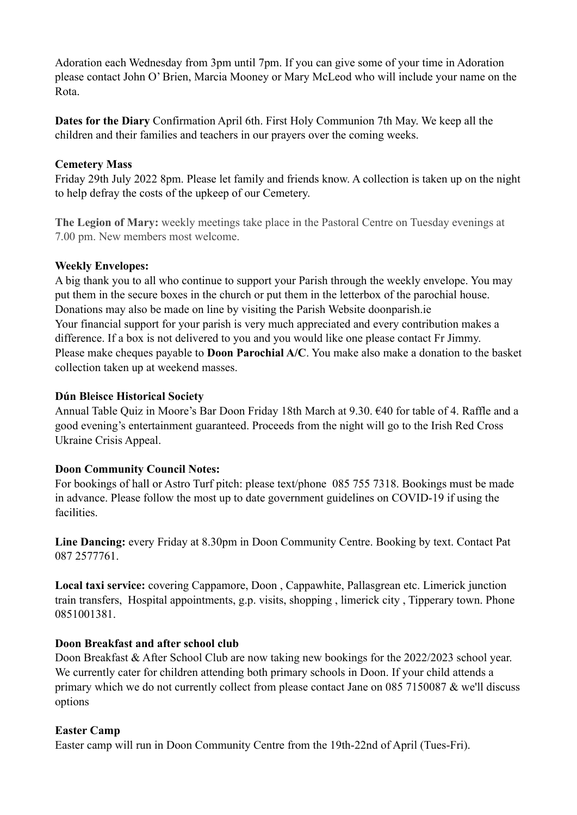Adoration each Wednesday from 3pm until 7pm. If you can give some of your time in Adoration please contact John O' Brien, Marcia Mooney or Mary McLeod who will include your name on the Rota.

**Dates for the Diary** Confirmation April 6th. First Holy Communion 7th May. We keep all the children and their families and teachers in our prayers over the coming weeks.

## **Cemetery Mass**

Friday 29th July 2022 8pm. Please let family and friends know. A collection is taken up on the night to help defray the costs of the upkeep of our Cemetery.

**The Legion of Mary:** weekly meetings take place in the Pastoral Centre on Tuesday evenings at 7.00 pm. New members most welcome.

## **Weekly Envelopes:**

A big thank you to all who continue to support your Parish through the weekly envelope. You may put them in the secure boxes in the church or put them in the letterbox of the parochial house. Donations may also be made on line by visiting the Parish Website [doonparish.ie](http://doonparish.ie) Your financial support for your parish is very much appreciated and every contribution makes a difference. If a box is not delivered to you and you would like one please contact Fr Jimmy. Please make cheques payable to **Doon Parochial A/C**. You make also make a donation to the basket collection taken up at weekend masses.

## **Dún Bleisce Historical Society**

Annual Table Quiz in Moore's Bar Doon Friday 18th March at 9.30. €40 for table of 4. Raffle and a good evening's entertainment guaranteed. Proceeds from the night will go to the Irish Red Cross Ukraine Crisis Appeal.

## **Doon Community Council Notes:**

For bookings of hall or Astro Turf pitch: please text/phone 085 755 7318. Bookings must be made in advance. Please follow the most up to date government guidelines on COVID-19 if using the facilities.

**Line Dancing:** every Friday at 8.30pm in Doon Community Centre. Booking by text. Contact Pat 087 2577761.

**Local taxi service:** covering Cappamore, Doon , Cappawhite, Pallasgrean etc. Limerick junction train transfers, Hospital appointments, g.p. visits, shopping , limerick city , Tipperary town. Phone 0851001381.

#### **Doon Breakfast and after school club**

Doon Breakfast & After School Club are now taking new bookings for the 2022/2023 school year. We currently cater for children attending both primary schools in Doon. If your child attends a primary which we do not currently collect from please contact Jane on 085 7150087 & we'll discuss options

#### **Easter Camp**

Easter camp will run in Doon Community Centre from the 19th-22nd of April (Tues-Fri).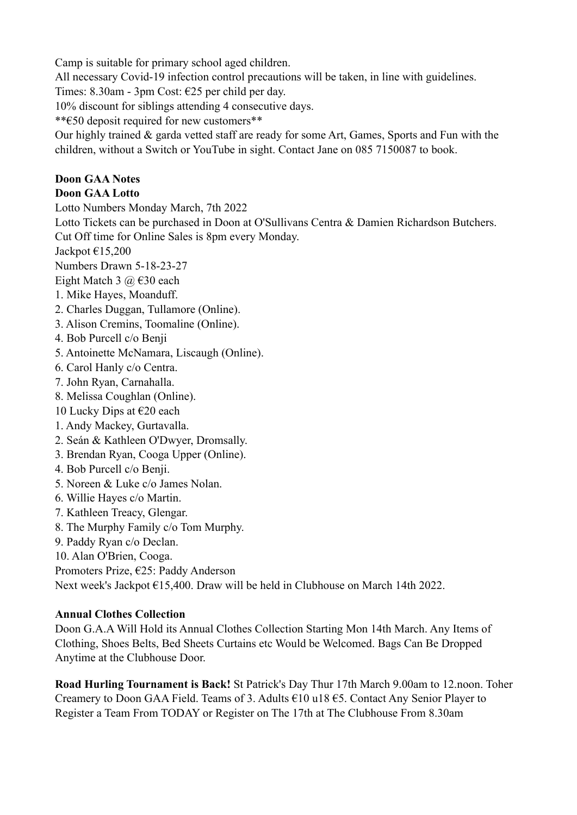Camp is suitable for primary school aged children.

All necessary Covid-19 infection control precautions will be taken, in line with guidelines.

Times: 8.30am - 3pm Cost: €25 per child per day.

10% discount for siblings attending 4 consecutive days.

\*\*€50 deposit required for new customers\*\*

Our highly trained & garda vetted staff are ready for some Art, Games, Sports and Fun with the children, without a Switch or YouTube in sight. Contact Jane on 085 7150087 to book.

# **Doon GAA Notes**

## **Doon GAA Lotto**

Lotto Numbers Monday March, 7th 2022

Lotto Tickets can be purchased in Doon at O'Sullivans Centra & Damien Richardson Butchers. Cut Off time for Online Sales is 8pm every Monday.

Jackpot  $\text{\e}15,200$ 

Numbers Drawn 5-18-23-27

Eight Match 3  $\omega \in 30$  each

- 1. Mike Hayes, Moanduff.
- 2. Charles Duggan, Tullamore (Online).
- 3. Alison Cremins, Toomaline (Online).
- 4. Bob Purcell c/o Benji
- 5. Antoinette McNamara, Liscaugh (Online).
- 6. Carol Hanly c/o Centra.
- 7. John Ryan, Carnahalla.
- 8. Melissa Coughlan (Online).
- 10 Lucky Dips at  $\epsilon$ 20 each
- 1. Andy Mackey, Gurtavalla.
- 2. Seán & Kathleen O'Dwyer, Dromsally.
- 3. Brendan Ryan, Cooga Upper (Online).
- 4. Bob Purcell c/o Benji.
- 5. Noreen & Luke c/o James Nolan.
- 6. Willie Hayes c/o Martin.
- 7. Kathleen Treacy, Glengar.
- 8. The Murphy Family c/o Tom Murphy.
- 9. Paddy Ryan c/o Declan.
- 10. Alan O'Brien, Cooga.

Promoters Prize, €25: Paddy Anderson

Next week's Jackpot €15,400. Draw will be held in Clubhouse on March 14th 2022.

## **Annual Clothes Collection**

Doon G.A.A Will Hold its Annual Clothes Collection Starting Mon 14th March. Any Items of Clothing, Shoes Belts, Bed Sheets Curtains etc Would be Welcomed. Bags Can Be Dropped Anytime at the Clubhouse Door.

**Road Hurling Tournament is Back!** St Patrick's Day Thur 17th March 9.00am to 12.noon. Toher Creamery to Doon GAA Field. Teams of 3. Adults  $\epsilon$ 10 u18  $\epsilon$ 5. Contact Any Senior Player to Register a Team From TODAY or Register on The 17th at The Clubhouse From 8.30am